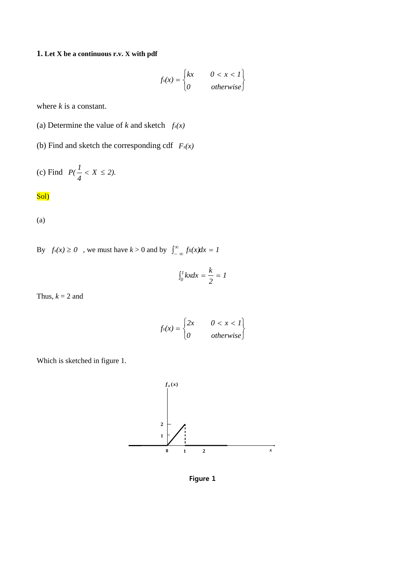# **1. Let X be a continuous r.v. X with pdf**

$$
f_{X}(x) = \begin{cases} kx & 0 < x < 1 \\ 0 & \text{otherwise} \end{cases}
$$

where *k* is a constant.

- (a) Determine the value of *k* and sketch  $f_x(x)$
- (b) Find and sketch the corresponding cdf  $F_x(x)$

(c) Find 
$$
P(\frac{1}{4} < X \le 2)
$$
.

## Sol)

(a)

By  $f_X(x) \ge 0$ , we must have  $k > 0$  and by  $\int_{-\infty}^{\infty} f_X(x) dx = 1$ 

$$
\int_0^1 kx dx = \frac{k}{2} = 1
$$

Thus,  $k = 2$  and

$$
f_x(x) = \begin{cases} 2x & 0 < x < 1 \\ 0 & \text{otherwise} \end{cases}
$$





**Figure 1**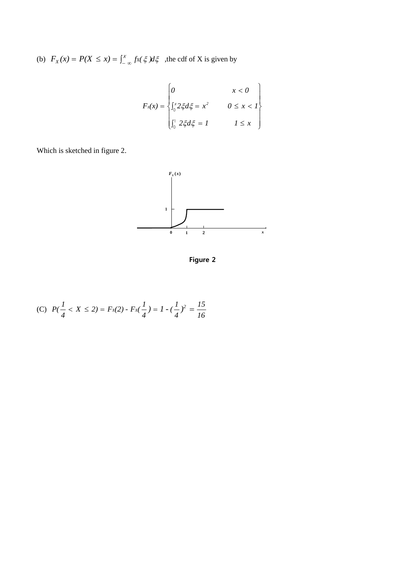(b)  $F_X(x) = P(X \le x) = \int_{-\infty}^{x} f(x) \xi \, dx$ , the cdf of X is given by

$$
F_x(x) = \begin{cases} 0 & x < 0 \\ \int_0^x 2\xi d\xi = x^2 & 0 \le x < 1 \\ \int_0^1 2\xi d\xi = 1 & 1 \le x \end{cases}
$$

Which is sketched in figure 2.



**Figure 2**

(C) 
$$
P(\frac{1}{4} < X \le 2) = F_X(2) - F_X(\frac{1}{4}) = 1 - (\frac{1}{4})^2 = \frac{15}{16}
$$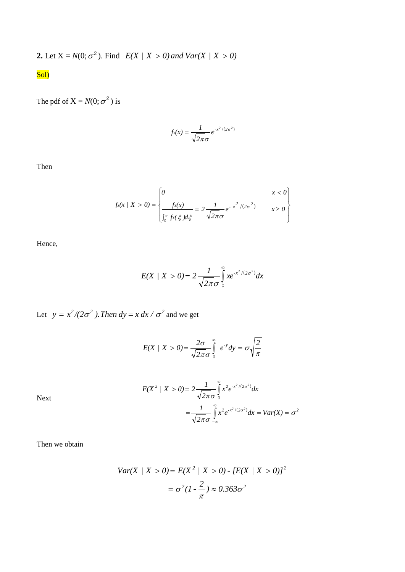**2.** Let 
$$
X = N(0; \sigma^2)
$$
. Find  $E(X / X > 0)$  and  $Var(X / X > 0)$ 

# Sol)

The pdf of  $X = N(0; \sigma^2)$  is

$$
f_{\mathsf{x}}(x) = \frac{1}{\sqrt{2\pi}\sigma} e^{-x^2/(2\sigma^2)}
$$

Then

$$
f_{x}(x \mid X > 0) = \begin{cases} 0 & x < 0 \\ \frac{f_{x}(x)}{\int_{0}^{\infty} f_{x}(\xi) d\xi} = 2 \frac{1}{\sqrt{2\pi}\sigma} e^{-x^{2}/(2\sigma^{2})} & x \ge 0 \end{cases}
$$

Hence,

$$
E(X \mid X > 0) = 2 \frac{1}{\sqrt{2\pi}\sigma} \int_{0}^{\infty} x e^{-x^{2}/(2\sigma^{2})} dx
$$

Let  $y = x^2/(2\sigma^2)$ . Then  $dy = x dx / \sigma^2$  and we get

$$
E(X \mid X > 0) = \frac{2\sigma}{\sqrt{2\pi}\sigma} \int_{0}^{\infty} e^{-y} dy = \sigma \sqrt{\frac{2}{\pi}}
$$

$$
E(X^{2} / X > 0) = 2 \frac{1}{\sqrt{2\pi}\sigma} \int_{0}^{\infty} x^{2} e^{-x^{2}/(2\sigma^{2})} dx
$$
  
= 
$$
\frac{1}{\sqrt{2\pi}\sigma} \int_{-\infty}^{\infty} x^{2} e^{-x^{2}/(2\sigma^{2})} dx = Var(X) = \sigma^{2}
$$

Next

Then we obtain

$$
Var(X \mid X > 0) = E(X^2 \mid X > 0) - [E(X \mid X > 0)]^2
$$
\n
$$
= \sigma^2 (1 - \frac{2}{\pi}) \approx 0.363 \sigma^2
$$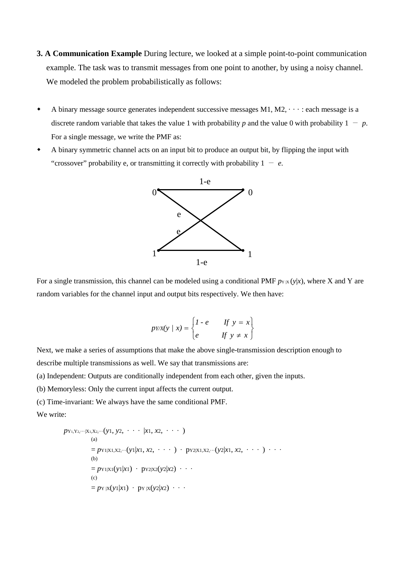- **3. A Communication Example** During lecture, we looked at a simple point-to-point communication example. The task was to transmit messages from one point to another, by using a noisy channel. We modeled the problem probabilistically as follows:
- $\bullet$  A binary message source generates independent successive messages M1, M2,  $\cdot \cdot \cdot$  : each message is a discrete random variable that takes the value 1 with probability *p* and the value 0 with probability  $1 - p$ . For a single message, we write the PMF as:
- A binary symmetric channel acts on an input bit to produce an output bit, by flipping the input with "crossover" probability e, or transmitting it correctly with probability  $1 - e$ .



For a single transmission, this channel can be modeled using a conditional PMF  $p_{Y|X}(y|x)$ , where X and Y are random variables for the channel input and output bits respectively. We then have:

$$
pYX(y \mid x) = \begin{cases} 1 - e & \text{if } y = x \\ e & \text{if } y \neq x \end{cases}
$$

Next, we make a series of assumptions that make the above single-transmission description enough to describe multiple transmissions as well. We say that transmissions are:

(a) Independent: Outputs are conditionally independent from each other, given the inputs.

(b) Memoryless: Only the current input affects the current output.

(c) Time-invariant: We always have the same conditional PMF.

We write:

```
p_{Y_1, Y_2, \cdots | X_1, X_2, \cdots}(y_1, y_2, \cdots | x_1, x_2, \cdots)(a)
               = p_{Y1|X1,X2,\cdots}(y_1|x_1,x_2,\cdots) + p_{Y2|X1,X2,\cdots}(y_2|x_1,x_2,\cdots) + \cdots(b)
               = p_{Y1|X1}(y_1|x_1) \cdot p_{Y2|X2}(y_2|x_2) \cdot \cdot \cdot(c)= p_Y |X(y| |x|) \cdot p_Y |X(y| |x2) \cdot \cdot \cdot
```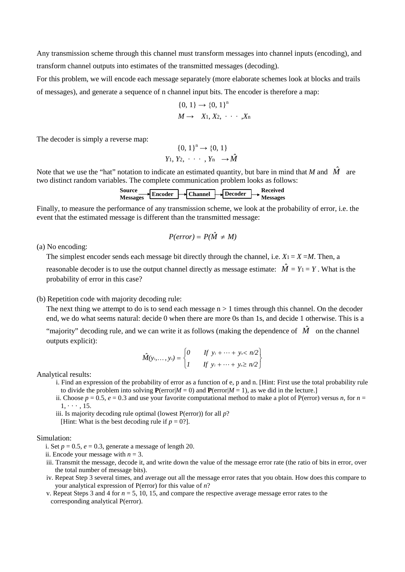Any transmission scheme through this channel must transform messages into channel inputs (encoding), and transform channel outputs into estimates of the transmitted messages (decoding).

For this problem, we will encode each message separately (more elaborate schemes look at blocks and trails of messages), and generate a sequence of n channel input bits. The encoder is therefore a map:

$$
\{0, 1\} \rightarrow \{0, 1\}^n
$$
  

$$
M \rightarrow X_1, X_2, \cdots, X_n
$$

The decoder is simply a reverse map:

$$
\{0, 1\}^n \to \{0, 1\}
$$
  

$$
Y_1, Y_2, \cdots, Y_n \to \hat{M}
$$

Note that we use the "hat" notation to indicate an estimated quantity, but bare in mind that *M* and  $\hat{M}$  are two distinct random variables. The complete communication problem looks as follows:



Finally, to measure the performance of any transmission scheme, we look at the probability of error, i.e. the event that the estimated message is different than the transmitted message:

$$
P(error) = P(\hat{M} \neq M)
$$

(a) No encoding:

The simplest encoder sends each message bit directly through the channel, i.e.  $X_1 = X = M$ . Then, a

reasonable decoder is to use the output channel directly as message estimate:  $\hat{M} = Y_1 = Y$ . What is the probability of error in this case?

#### (b) Repetition code with majority decoding rule:

The next thing we attempt to do is to send each message  $n > 1$  times through this channel. On the decoder end, we do what seems natural: decide 0 when there are more 0s than 1s, and decide 1 otherwise. This is a

"majority" decoding rule, and we can write it as follows (making the dependence of  $\hat{M}$  on the channel outputs explicit):

$$
\hat{M}(y_1,\ldots,y_n)=\begin{cases}\n0 & \text{if } y_1+\cdots+y_n < n/2 \\
1 & \text{if } y_1+\cdots+y_n \geq n/2\n\end{cases}
$$

Analytical results:

- i. Find an expression of the probability of error as a function of e, p and n. [Hint: First use the total probability rule to divide the problem into solving  $P(\text{error}|M = 0)$  and  $P(\text{error}|M = 1)$ , as we did in the lecture.]
- ii. Choose  $p = 0.5$ ,  $e = 0.3$  and use your favorite computational method to make a plot of P(error) versus *n*, for  $n =$  $1, \cdots, 15.$
- iii. Is majority decoding rule optimal (lowest P(error)) for all *p*?

[Hint: What is the best decoding rule if  $p = 0$ ?].

#### Simulation:

- i. Set  $p = 0.5$ ,  $e = 0.3$ , generate a message of length 20.
- ii. Encode your message with  $n = 3$ .
- iii. Transmit the message, decode it, and write down the value of the message error rate (the ratio of bits in error, over the total number of message bits).
- iv. Repeat Step 3 several times, and average out all the message error rates that you obtain. How does this compare to your analytical expression of P(error) for this value of *n*?
- v. Repeat Steps 3 and 4 for *n* = 5, 10, 15, and compare the respective average message error rates to the corresponding analytical P(error).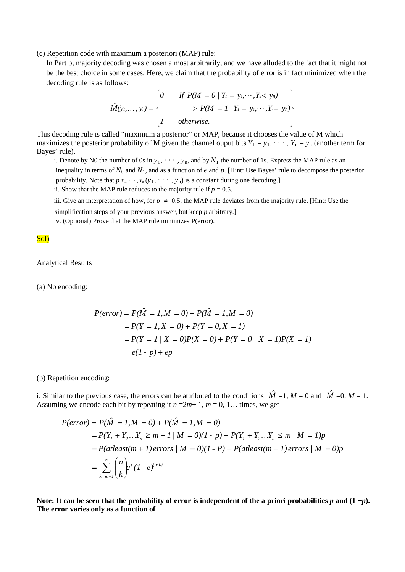(c) Repetition code with maximum a posteriori (MAP) rule:

In Part b, majority decoding was chosen almost arbitrarily, and we have alluded to the fact that it might not be the best choice in some cases. Here, we claim that the probability of error is in fact minimized when the decoding rule is as follows:

$$
\hat{M}(y_1,..., y_n) = \begin{cases}\n0 & \text{if } P(M = 0 \mid Y_1 = y_1, ..., Y_n < y_n) \\
> P(M = 1 \mid Y_1 = y_1, ..., Y_n = y_n) \\
1 & \text{otherwise.} \n\end{cases}
$$

This decoding rule is called "maximum a posterior" or MAP, because it chooses the value of M which maximizes the posterior probability of M given the channel ouput bits  $Y_1 = y_1, \dots, Y_n = y_n$  (another term for Bayes' rule).

i. Denote by N0 the number of 0s in  $y_1, \dots, y_n$ , and by  $N_1$  the number of 1s. Express the MAP rule as an inequality in terms of  $N_0$  and  $N_1$ , and as a function of *e* and *p*. [Hint: Use Bayes' rule to decompose the posterior probability. Note that  $p_{Y_1}, \dots, Y_n(y_1, \dots, y_n)$  is a constant during one decoding.] ii. Show that the MAP rule reduces to the majority rule if  $p = 0.5$ .

iii. Give an interpretation of how, for  $p \neq 0.5$ , the MAP rule deviates from the majority rule. [Hint: Use the

simplification steps of your previous answer, but keep *p* arbitrary.]

iv. (Optional) Prove that the MAP rule minimizes **P**(error).

Sol)

Analytical Results

(a) No encoding:

$$
P(error) = P(\hat{M} = 1, M = 0) + P(\hat{M} = 1, M = 0)
$$
  
=  $P(Y = 1, X = 0) + P(Y = 0, X = 1)$   
=  $P(Y = 1 / X = 0)P(X = 0) + P(Y = 0 / X = 1)P(X = 1)$   
=  $e(1 - p) + ep$ 

(b) Repetition encoding:

i. Similar to the previous case, the errors can be attributed to the conditions  $\hat{M} = 1$ ,  $M = 0$  and  $\hat{M} = 0$ ,  $M = 1$ . Assuming we encode each bit by repeating it  $n = 2m+1$ ,  $m = 0, 1...$  times, we get

$$
P(error) = P(\hat{M} = 1, M = 0) + P(\hat{M} = 1, M = 0)
$$
  
=  $P(Y_1 + Y_2...Y_n \ge m + 1/M = 0)(1 - p) + P(Y_1 + Y_2...Y_n \le m/M = 1)p$   
=  $P(atleast(m + 1) errors/M = 0)(1 - P) + P(atleast(m + 1) errors/M = 0)p$   
=  $\sum_{k=m+1}^{n} {n \choose k} e^{k} (1 - e)^{(n-k)}$ 

Note: It can be seen that the probability of error is independent of the a priori probabilities  $p$  and  $(1 - p)$ . **The error varies only as a function of**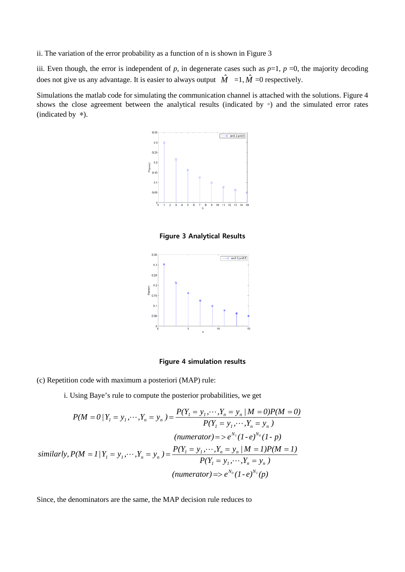ii. The variation of the error probability as a function of n is shown in Figure 3

iii. Even though, the error is independent of  $p$ , in degenerate cases such as  $p=1$ ,  $p=0$ , the majority decoding does not give us any advantage. It is easier to always output  $\hat{M} =1, \hat{M} =0$  respectively.

Simulations the matlab code for simulating the communication channel is attached with the solutions. Figure 4 shows the close agreement between the analytical results (indicated by ◦) and the simulated error rates (indicated by ∗).



**Figure 3 Analytical Results**



### **Figure 4 simulation results**

(c) Repetition code with maximum a posteriori (MAP) rule:

i. Using Baye's rule to compute the posterior probabilities, we get

$$
P(M = 0 | Y_1 = y_1, \dots, Y_n = y_n) = \frac{P(Y_1 = y_1, \dots, Y_n = y_n | M = 0)P(M = 0)}{P(Y_1 = y_1, \dots, Y_n = y_n)}
$$
  
\n(*numerator*) = >  $e^{N_I}(1 - e)^{N_0}(1 - p)$   
\nsimilarly,  $P(M = 1 | Y_1 = y_1, \dots, Y_n = y_n) = \frac{P(Y_1 = y_1, \dots, Y_n = y_n | M = 1)P(M = 1)}{P(Y_1 = y_1, \dots, Y_n = y_n)}$   
\n(*numerator*) = >  $e^{N_0}(1 - e)^{N_1}(p)$ 

Since, the denominators are the same, the MAP decision rule reduces to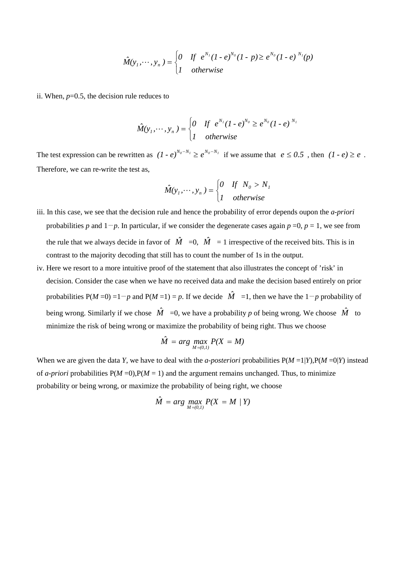$$
\hat{M}(y_1,\dots,y_n) = \begin{cases} 0 & \text{if } e^{N_1}(1-e)^{N_0}(1-p) \ge e^{N_0}(1-e)^{N_1}(p) \\ 1 & \text{otherwise} \end{cases}
$$

ii. When,  $p=0.5$ , the decision rule reduces to

$$
\hat{M}(y_1,\dots,y_n)=\begin{cases}0 & \text{If}\ \ e^{N_1}(1-e)^{N_0}\geq e^{N_0}(1-e)^{N_1}\\1 & otherwise\end{cases}
$$

The test expression can be rewritten as  $(I - e)^{N_0 - N_1} \ge e^{N_0 - N_1}$  if we assume that  $e \le 0.5$ , then  $(I - e) \ge e$ . Therefore, we can re-write the test as,

$$
\hat{M}(y_1, \dots, y_n) = \begin{cases} 0 & \text{if } N_0 > N_1 \\ 1 & \text{otherwise} \end{cases}
$$

- iii. In this case, we see that the decision rule and hence the probability of error depends oupon the *a-priori*  probabilities *p* and 1−*p*. In particular, if we consider the degenerate cases again *p* =0, *p* = 1, we see from the rule that we always decide in favor of  $\hat{M} = 0$ ,  $\hat{M} = 1$  irrespective of the received bits. This is in contrast to the majority decoding that still has to count the number of 1s in the output.
- iv. Here we resort to a more intuitive proof of the statement that also illustrates the concept of 'risk' in decision. Consider the case when we have no received data and make the decision based entirely on prior probabilities  $P(M=0) = 1-p$  and  $P(M=1) = p$ . If we decide  $\hat{M} = 1$ , then we have the  $1-p$  probability of being wrong. Similarly if we chose  $\hat{M} = 0$ , we have a probability p of being wrong. We choose  $\hat{M}$  to minimize the risk of being wrong or maximize the probability of being right. Thus we choose

$$
\hat{M} = arg \max_{M=(0,1)} P(X = M)
$$

When we are given the data *Y*, we have to deal with the *a-posteriori* probabilities  $P(M=1|Y)$ ,  $P(M=0|Y)$  instead of *a-priori* probabilities  $P(M=0), P(M=1)$  and the argument remains unchanged. Thus, to minimize probability or being wrong, or maximize the probability of being right, we choose

$$
\hat{M} = arg \max_{M=(0,1)} P(X = M / Y)
$$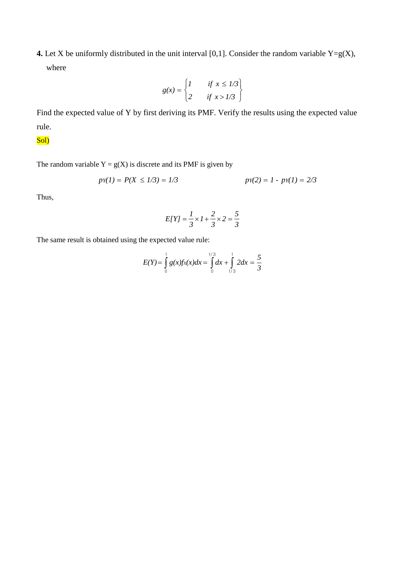**4.** Let X be uniformly distributed in the unit interval [0,1]. Consider the random variable  $Y = g(X)$ , where

$$
g(x) = \begin{cases} 1 & \text{if } x \le 1/3 \\ 2 & \text{if } x > 1/3 \end{cases}
$$

Find the expected value of Y by first deriving its PMF. Verify the results using the expected value rule.

# Sol)

The random variable  $Y = g(X)$  is discrete and its PMF is given by

$$
pY(1) = P(X \le 1/3) = 1/3 \qquad pY(2) = 1 - py(1) = 2/3
$$

Thus,

$$
E[Y] = \frac{1}{3} \times 1 + \frac{2}{3} \times 2 = \frac{5}{3}
$$

The same result is obtained using the expected value rule:

$$
E(Y) = \int_{0}^{1} g(x)fx(x)dx = \int_{0}^{1/3} dx + \int_{1/3}^{1} 2dx = \frac{5}{3}
$$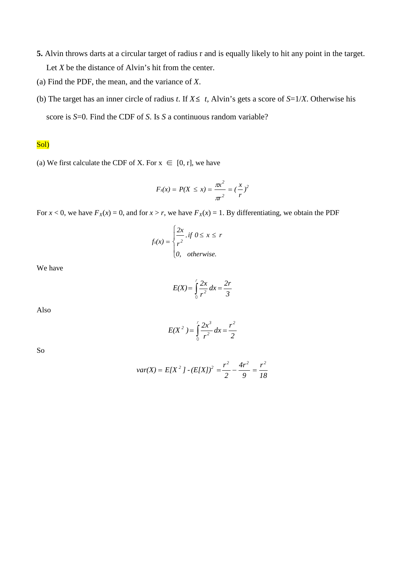- **5.** Alvin throws darts at a circular target of radius r and is equally likely to hit any point in the target. Let *X* be the distance of Alvin's hit from the center.
- (a) Find the PDF, the mean, and the variance of *X*.
- (b) The target has an inner circle of radius *t*. If *X*≤ *t,* Alvin's gets a score of *S*=1/*X*. Otherwise his score is *S*=0. Find the CDF of *S*. Is *S* a continuous random variable?

## Sol)

(a) We first calculate the CDF of X. For  $x \in [0, r]$ , we have

$$
F_x(x) = P(X \le x) = \frac{\pi x^2}{\pi r^2} = (\frac{x}{r})^2
$$

For  $x < 0$ , we have  $F_x(x) = 0$ , and for  $x > r$ , we have  $F_x(x) = 1$ . By differentiating, we obtain the PDF

$$
f_{x}(x) = \begin{cases} \frac{2x}{r^2}, & \text{if } 0 \leq x \leq r \\ 0, & \text{otherwise.} \end{cases}
$$

We have

$$
E(X) = \int_{0}^{1} \frac{2x}{r^2} dx = \frac{2r}{3}
$$

Also

$$
E(X^{2}) = \int_{0}^{r} \frac{2x^{3}}{r^{2}} dx = \frac{r^{2}}{2}
$$

So

$$
var(X) = E[X^2] \cdot (E[X])^2 = \frac{r^2}{2} - \frac{4r^2}{9} = \frac{r^2}{18}
$$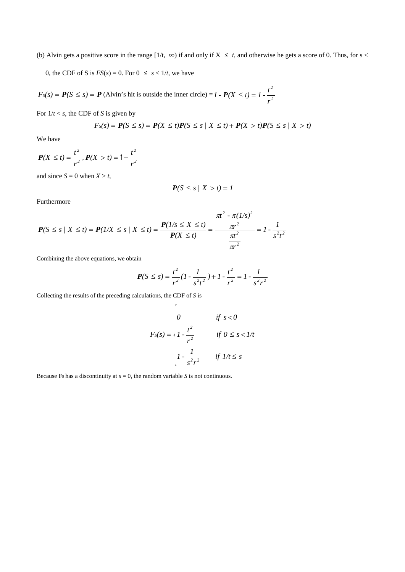(b) Alvin gets a positive score in the range  $[1/t, \infty)$  if and only if  $X \leq t$ , and otherwise he gets a score of 0. Thus, for s <

0, the CDF of S is  $FS(s) = 0$ . For  $0 \le s < 1/t$ , we have

 $F_S(s) = P(S \le s) = P$  (Alvin's hit is outside the inner circle) = *1* -  $P(X \le t) = 1 - \frac{t^2}{r^2}$ *r t*  $P(X \le t) = 1 - \frac{t}{t}$ 

For  $1/t < s$ , the CDF of *S* is given by

$$
F_S(s) = P(S \le s) = P(X \le t)P(S \le s \mid X \le t) + P(X > t)P(S \le s \mid X > t)
$$

We have

$$
P(X \le t) = \frac{t^2}{r^2}, P(X > t) = 1 - \frac{t^2}{r^2}
$$

and since  $S = 0$  when  $X > t$ ,

$$
P(S \leq s \mid X > t) = 1
$$

Furthermore

$$
P(S \le s \mid X \le t) = P(1/X \le s \mid X \le t) = \frac{P(1/s \le X \le t)}{P(X \le t)} = \frac{\frac{\pi t^2 - \pi (1/s)^2}{\pi r^2}}{\frac{\pi t^2}{\pi r^2}} = 1 - \frac{1}{s^2 t^2}
$$

Combining the above equations, we obtain

$$
P(S \le s) = \frac{t^2}{r^2} (1 - \frac{1}{s^2 t^2}) + 1 - \frac{t^2}{r^2} = 1 - \frac{1}{s^2 r^2}
$$

Collecting the results of the preceding calculations, the CDF of *S* is

$$
F_s(s) = \begin{cases} 0 & \text{if } s < 0 \\ 1 - \frac{t^2}{r^2} & \text{if } 0 \le s < 1/t \\ 1 - \frac{1}{s^2 r^2} & \text{if } 1/t \le s \end{cases}
$$

Because Fs has a discontinuity at  $s = 0$ , the random variable *S* is not continuous.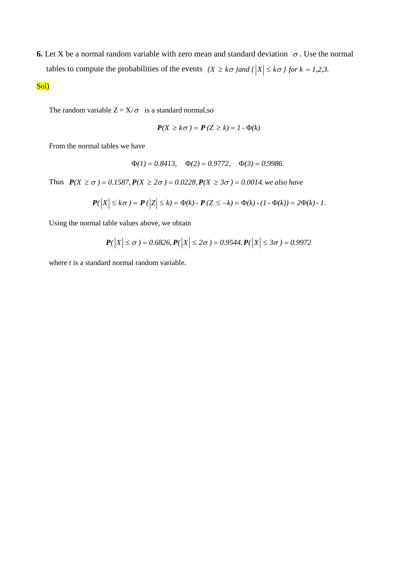**6.** Let X be a normal random variable with zero mean and standard deviation  $\sigma$ . Use the normal tables to compute the probabilities of the events  ${X \ge k\sigma}$  *and*  ${|X| \le k\sigma}$  *for*  $k = 1,2,3$ .

Sol)

The random variable  $Z = X/\sigma$  is a standard normal, so

$$
P(X \geq k\sigma) = P(Z \geq k) = 1 - \Phi(k)
$$

From the normal tables we have

$$
\Phi(1) = 0.8413
$$
,  $\Phi(2) = 0.9772$ ,  $\Phi(3) = 0.9986$ .

Thus  $P(X \ge \sigma) = 0.1587, P(X \ge 2\sigma) = 0.0228, P(X \ge 3\sigma) = 0.0014$ . we also have

$$
\mathbf{P}(|X| \leq k\sigma) = \mathbf{P}(|Z| \leq k) = \Phi(k) - \mathbf{P}(Z \leq -k) = \Phi(k) - (1 - \Phi(k)) = 2\Phi(k) - 1.
$$

Using the normal table values above, we obtain

$$
P(|X| \le \sigma) = 0.6826, P(|X| \le 2\sigma) = 0.9544, P(|X| \le 3\sigma) = 0.9972
$$

where *t* is a standard normal random variable.